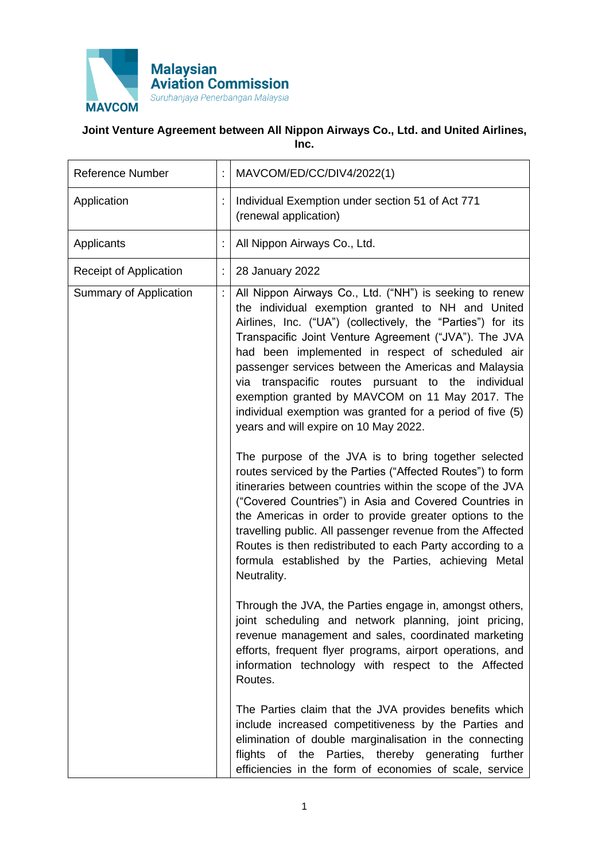

## **Joint Venture Agreement between All Nippon Airways Co., Ltd. and United Airlines, Inc.**

| <b>Reference Number</b> | t                    | MAVCOM/ED/CC/DIV4/2022(1)                                                                                                                                                                                                                                                                                                                                                                                                                                                                                                                                          |
|-------------------------|----------------------|--------------------------------------------------------------------------------------------------------------------------------------------------------------------------------------------------------------------------------------------------------------------------------------------------------------------------------------------------------------------------------------------------------------------------------------------------------------------------------------------------------------------------------------------------------------------|
| Application             |                      | Individual Exemption under section 51 of Act 771<br>(renewal application)                                                                                                                                                                                                                                                                                                                                                                                                                                                                                          |
| Applicants              |                      | All Nippon Airways Co., Ltd.                                                                                                                                                                                                                                                                                                                                                                                                                                                                                                                                       |
| Receipt of Application  |                      | 28 January 2022                                                                                                                                                                                                                                                                                                                                                                                                                                                                                                                                                    |
| Summary of Application  | $\ddot{\phantom{a}}$ | All Nippon Airways Co., Ltd. ("NH") is seeking to renew<br>the individual exemption granted to NH and United<br>Airlines, Inc. ("UA") (collectively, the "Parties") for its<br>Transpacific Joint Venture Agreement ("JVA"). The JVA<br>had been implemented in respect of scheduled air<br>passenger services between the Americas and Malaysia<br>transpacific routes pursuant to the individual<br>via<br>exemption granted by MAVCOM on 11 May 2017. The<br>individual exemption was granted for a period of five (5)<br>years and will expire on 10 May 2022. |
|                         |                      | The purpose of the JVA is to bring together selected<br>routes serviced by the Parties ("Affected Routes") to form<br>itineraries between countries within the scope of the JVA<br>("Covered Countries") in Asia and Covered Countries in<br>the Americas in order to provide greater options to the<br>travelling public. All passenger revenue from the Affected<br>Routes is then redistributed to each Party according to a<br>formula established by the Parties, achieving Metal<br>Neutrality.                                                              |
|                         |                      | Through the JVA, the Parties engage in, amongst others,<br>joint scheduling and network planning, joint pricing,<br>revenue management and sales, coordinated marketing<br>efforts, frequent flyer programs, airport operations, and<br>information technology with respect to the Affected<br>Routes.                                                                                                                                                                                                                                                             |
|                         |                      | The Parties claim that the JVA provides benefits which<br>include increased competitiveness by the Parties and<br>elimination of double marginalisation in the connecting<br>flights of the Parties, thereby generating<br>further<br>efficiencies in the form of economies of scale, service                                                                                                                                                                                                                                                                      |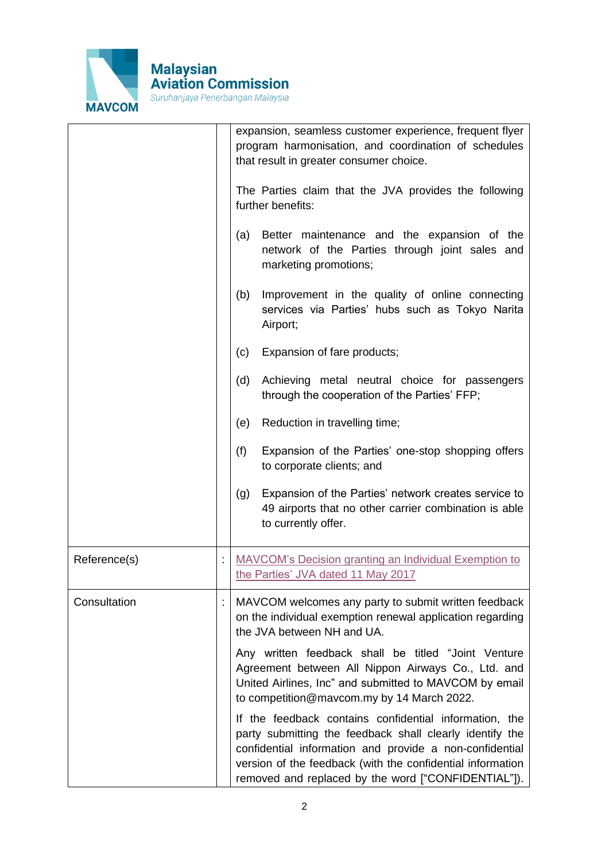

|              | expansion, seamless customer experience, frequent flyer<br>program harmonisation, and coordination of schedules<br>that result in greater consumer choice.<br>The Parties claim that the JVA provides the following<br>further benefits:<br>(a)<br>Better maintenance and the expansion of the<br>network of the Parties through joint sales and<br>marketing promotions;<br>Improvement in the quality of online connecting<br>(b)<br>services via Parties' hubs such as Tokyo Narita<br>Airport;<br>Expansion of fare products;<br>(c)<br>(d)<br>Achieving metal neutral choice for passengers<br>through the cooperation of the Parties' FFP;<br>Reduction in travelling time;<br>(e)<br>(f)<br>Expansion of the Parties' one-stop shopping offers<br>to corporate clients; and<br>Expansion of the Parties' network creates service to<br>(g)<br>49 airports that no other carrier combination is able<br>to currently offer. |
|--------------|-----------------------------------------------------------------------------------------------------------------------------------------------------------------------------------------------------------------------------------------------------------------------------------------------------------------------------------------------------------------------------------------------------------------------------------------------------------------------------------------------------------------------------------------------------------------------------------------------------------------------------------------------------------------------------------------------------------------------------------------------------------------------------------------------------------------------------------------------------------------------------------------------------------------------------------|
| Reference(s) | <b>MAVCOM's Decision granting an Individual Exemption to</b><br>the Parties' JVA dated 11 May 2017                                                                                                                                                                                                                                                                                                                                                                                                                                                                                                                                                                                                                                                                                                                                                                                                                                |
| Consultation | MAVCOM welcomes any party to submit written feedback<br>on the individual exemption renewal application regarding<br>the JVA between NH and UA.<br>Any written feedback shall be titled "Joint Venture<br>Agreement between All Nippon Airways Co., Ltd. and<br>United Airlines, Inc" and submitted to MAVCOM by email<br>to competition@mavcom.my by 14 March 2022.<br>If the feedback contains confidential information, the<br>party submitting the feedback shall clearly identify the<br>confidential information and provide a non-confidential<br>version of the feedback (with the confidential information<br>removed and replaced by the word ["CONFIDENTIAL"]).                                                                                                                                                                                                                                                        |